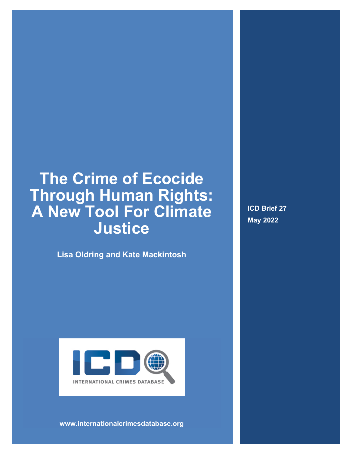# **The Crime of Ecocide Through Human Rights: A New Tool For Climate Justice**

**Lisa Oldring and Kate Mackintosh**

**ICD Brief 27 May 2022**



**www.internationalcrimesdatabase.org**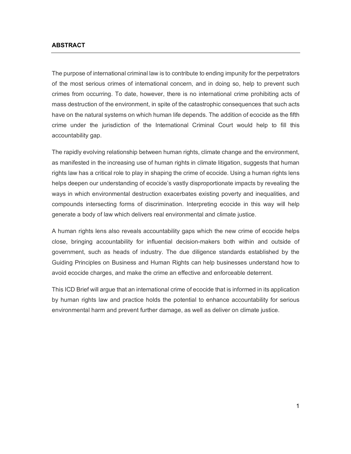#### **ABSTRACT**

The purpose of international criminal law is to contribute to ending impunity for the perpetrators of the most serious crimes of international concern, and in doing so, help to prevent such crimes from occurring. To date, however, there is no international crime prohibiting acts of mass destruction of the environment, in spite of the catastrophic consequences that such acts have on the natural systems on which human life depends. The addition of ecocide as the fifth crime under the jurisdiction of the International Criminal Court would help to fill this accountability gap.

The rapidly evolving relationship between human rights, climate change and the environment, as manifested in the increasing use of human rights in climate litigation, suggests that human rights law has a critical role to play in shaping the crime of ecocide. Using a human rights lens helps deepen our understanding of ecocide's vastly disproportionate impacts by revealing the ways in which environmental destruction exacerbates existing poverty and inequalities, and compounds intersecting forms of discrimination. Interpreting ecocide in this way will help generate a body of law which delivers real environmental and climate justice.

A human rights lens also reveals accountability gaps which the new crime of ecocide helps close, bringing accountability for influential decision-makers both within and outside of government, such as heads of industry. The due diligence standards established by the Guiding Principles on Business and Human Rights can help businesses understand how to avoid ecocide charges, and make the crime an effective and enforceable deterrent.

This ICD Brief will argue that an international crime of ecocide that is informed in its application by human rights law and practice holds the potential to enhance accountability for serious environmental harm and prevent further damage, as well as deliver on climate justice.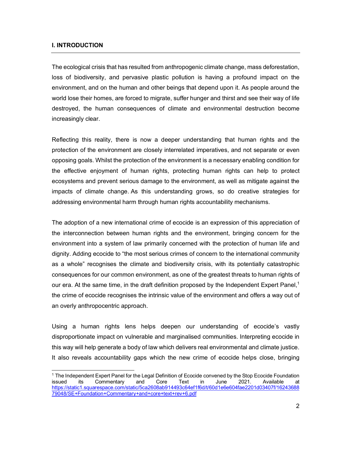#### **I. INTRODUCTION**

The ecological crisis that has resulted from anthropogenic climate change, mass deforestation, loss of biodiversity, and pervasive plastic pollution is having a profound impact on the environment, and on the human and other beings that depend upon it. As people around the world lose their homes, are forced to migrate, suffer hunger and thirst and see their way of life destroyed, the human consequences of climate and environmental destruction become increasingly clear.

Reflecting this reality, there is now a deeper understanding that human rights and the protection of the environment are closely interrelated imperatives, and not separate or even opposing goals. Whilst the protection of the environment is a necessary enabling condition for the effective enjoyment of human rights, protecting human rights can help to protect ecosystems and prevent serious damage to the environment, as well as mitigate against the impacts of climate change. As this understanding grows, so do creative strategies for addressing environmental harm through human rights accountability mechanisms.

The adoption of a new international crime of ecocide is an expression of this appreciation of the interconnection between human rights and the environment, bringing concern for the environment into a system of law primarily concerned with the protection of human life and dignity. Adding ecocide to "the most serious crimes of concern to the international community as a whole" recognises the climate and biodiversity crisis, with its potentially catastrophic consequences for our common environment, as one of the greatest threats to human rights of our era. At the same time, in the draft definition proposed by the Independent Expert Panel,<sup>1</sup> the crime of ecocide recognises the intrinsic value of the environment and offers a way out of an overly anthropocentric approach.

Using a human rights lens helps deepen our understanding of ecocide's vastly disproportionate impact on vulnerable and marginalised communities. Interpreting ecocide in this way will help generate a body of law which delivers real environmental and climate justice. It also reveals accountability gaps which the new crime of ecocide helps close, bringing

<sup>&</sup>lt;sup>1</sup> The Independent Expert Panel for the Legal Definition of Ecocide convened by the Stop Ecocide Foundation issued its Commentary and Core Text in June 2021. Available at https://static1.squarespace.com/static/5ca2608ab914493c64ef1f6d/t/60d1e6e604fae2201d03407f/16243688 79048/SE+Foundation+Commentary+and+core+text+rev+6.pdf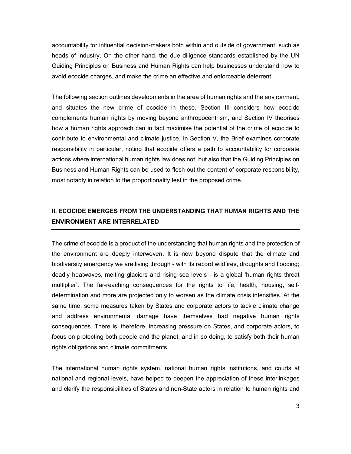accountability for influential decision-makers both within and outside of government, such as heads of industry. On the other hand, the due diligence standards established by the UN Guiding Principles on Business and Human Rights can help businesses understand how to avoid ecocide charges, and make the crime an effective and enforceable deterrent.

The following section outlines developments in the area of human rights and the environment, and situates the new crime of ecocide in these. Section III considers how ecocide complements human rights by moving beyond anthropocentrism, and Section IV theorises how a human rights approach can in fact maximise the potential of the crime of ecocide to contribute to environmental and climate justice. In Section V, the Brief examines corporate responsibility in particular, noting that ecocide offers a path to accountability for corporate actions where international human rights law does not, but also that the Guiding Principles on Business and Human Rights can be used to flesh out the content of corporate responsibility, most notably in relation to the proportionality test in the proposed crime.

## **II. ECOCIDE EMERGES FROM THE UNDERSTANDING THAT HUMAN RIGHTS AND THE ENVIRONMENT ARE INTERRELATED**

The crime of ecocide is a product of the understanding that human rights and the protection of the environment are deeply interwoven. It is now beyond dispute that the climate and biodiversity emergency we are living through - with its record wildfires, droughts and flooding; deadly heatwaves, melting glaciers and rising sea levels - is a global 'human rights threat multiplier'. The far-reaching consequences for the rights to life, health, housing, selfdetermination and more are projected only to worsen as the climate crisis intensifies. At the same time, some measures taken by States and corporate actors to tackle climate change and address environmental damage have themselves had negative human rights consequences. There is, therefore, increasing pressure on States, and corporate actors, to focus on protecting both people and the planet, and in so doing, to satisfy both their human rights obligations and climate commitments.

The international human rights system, national human rights institutions, and courts at national and regional levels, have helped to deepen the appreciation of these interlinkages and clarify the responsibilities of States and non-State actors in relation to human rights and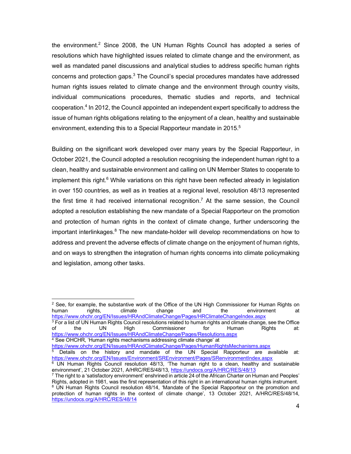the environment.<sup>2</sup> Since 2008, the UN Human Rights Council has adopted a series of resolutions which have highlighted issues related to climate change and the environment, as well as mandated panel discussions and analytical studies to address specific human rights concerns and protection gaps.3 The Council's special procedures mandates have addressed human rights issues related to climate change and the environment through country visits, individual communications procedures, thematic studies and reports, and technical cooperation.4 In 2012, the Council appointed an independent expert specifically to address the issue of human rights obligations relating to the enjoyment of a clean, healthy and sustainable environment, extending this to a Special Rapporteur mandate in 2015.<sup>5</sup>

Building on the significant work developed over many years by the Special Rapporteur, in October 2021, the Council adopted a resolution recognising the independent human right to a clean, healthy and sustainable environment and calling on UN Member States to cooperate to implement this right. $6$  While variations on this right have been reflected already in legislation in over 150 countries, as well as in treaties at a regional level, resolution 48/13 represented the first time it had received international recognition.<sup>7</sup> At the same session, the Council adopted a resolution establishing the new mandate of a Special Rapporteur on the promotion and protection of human rights in the context of climate change, further underscoring the important interlinkages.<sup>8</sup> The new mandate-holder will develop recommendations on how to address and prevent the adverse effects of climate change on the enjoyment of human rights, and on ways to strengthen the integration of human rights concerns into climate policymaking and legislation, among other tasks.

<sup>3</sup> For a list of UN Human Rights Council resolutions related to human rights and climate change, see the Office of the UN High Commissioner for Human Rights at: https://www.ohchr.org/EN/Issues/HRAndClimateChange/Pages/Resolutions.aspx  $4$  See OHCHR, 'Human rights mechanisms addressing climate change' at

https://www.ohchr.org/EN/Issues/HRAndClimateChange/Pages/HumanRightsMechanisms.aspx

<sup>&</sup>lt;sup>2</sup> See, for example, the substantive work of the Office of the UN High Commissioner for Human Rights on human  $\frac{1}{10}$  climate change and the environment at human rights, climate change and the environment at https://www.ohchr.org/EN/Issues/HRAndClimateChange/Pages/HRClimateChangeIndex.aspx

Details on the history and mandate of the UN Special Rapporteur are available at: https://www.ohchr.org/EN/Issues/Environment/SREnvironment/Pages/SRenvironmentIndex.aspx

 $6$  UN Human Rights Council resolution 48/13, 'The human right to a clean, healthy and sustainable environment', 21 October 2021, A/HRC/RES/48/13, https://undocs.org/A/HRC/RES/48/13

 $7$  The right to a 'satisfactory environment' enshrined in article 24 of the African Charter on Human and Peoples' Rights, adopted in 1981, was the first representation of this right in an international human rights instrument. <sup>8</sup> UN Human Rights Council resolution 48/14, 'Mandate of the Special Rapporteur on the promotion and protection of human rights in the context of climate change', 13 October 2021, A/HRC/RES/48/14, https://undocs.org/A/HRC/RES/48/14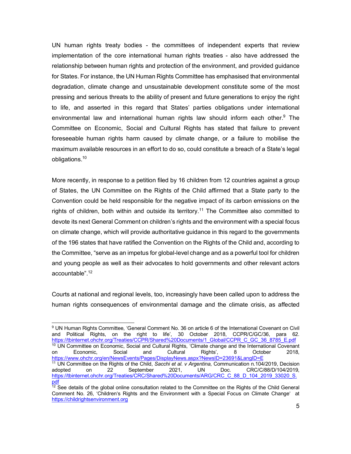UN human rights treaty bodies - the committees of independent experts that review implementation of the core international human rights treaties - also have addressed the relationship between human rights and protection of the environment, and provided guidance for States. For instance, the UN Human Rights Committee has emphasised that environmental degradation, climate change and unsustainable development constitute some of the most pressing and serious threats to the ability of present and future generations to enjoy the right to life, and asserted in this regard that States' parties obligations under international environmental law and international human rights law should inform each other.<sup>9</sup> The Committee on Economic, Social and Cultural Rights has stated that failure to prevent foreseeable human rights harm caused by climate change, or a failure to mobilise the maximum available resources in an effort to do so, could constitute a breach of a State's legal obligations.10

More recently, in response to a petition filed by 16 children from 12 countries against a group of States, the UN Committee on the Rights of the Child affirmed that a State party to the Convention could be held responsible for the negative impact of its carbon emissions on the rights of children, both within and outside its territory.<sup>11</sup> The Committee also committed to devote its next General Comment on children's rights and the environment with a special focus on climate change, which will provide authoritative guidance in this regard to the governments of the 196 states that have ratified the Convention on the Rights of the Child and, according to the Committee, "serve as an impetus for global-level change and as a powerful tool for children and young people as well as their advocates to hold governments and other relevant actors accountable".12

Courts at national and regional levels, too, increasingly have been called upon to address the human rights consequences of environmental damage and the climate crisis, as affected

 <sup>9</sup> UN Human Rights Committee, 'General Comment No. 36 on article 6 of the International Covenant on Civil and Political Rights, on the right to life', 30 October 2018, CCPR/C/GC/36, para 62. https://tbinternet.ohchr.org/Treaties/CCPR/Shared%20Documents/1\_Global/CCPR\_C\_GC\_36\_8785\_E.pdf <sup>10</sup> UN Committee on Economic, Social and Cultural Rights, 'Climate change and the International Covenant on Economic, Social and Cultural Rights', 8 October 2018, https://www.ohchr.org/en/NewsEvents/Pages/DisplayNews.aspx?NewsID=23691&LangID=E <sup>11</sup> UN Committee on the Rights of the Child, *Sacchi et al. v Argentina*, Communication n.104/2019, Decision adopted on 22 September 2021, UN Doc. CRC/C/88/D/104/2019, adopted on 22 September 2021, UN Doc. CRC/C/88/D/104/2019, https://tbinternet.ohchr.org/Treaties/CRC/Shared%20Documents/ARG/CRC\_C\_88\_D\_104\_2019\_33020\_S. pdf

 $12$  See details of the global online consultation related to the Committee on the Rights of the Child General Comment No. 26, 'Children's Rights and the Environment with a Special Focus on Climate Change' at https://childrightsenvironment.org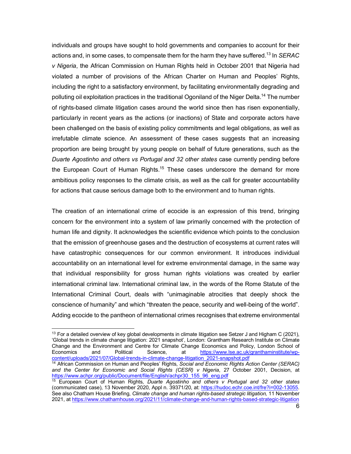individuals and groups have sought to hold governments and companies to account for their actions and, in some cases, to compensate them for the harm they have suffered.13 In *SERAC v Nigeria*, the African Commission on Human Rights held in October 2001 that Nigeria had violated a number of provisions of the African Charter on Human and Peoples' Rights, including the right to a satisfactory environment, by facilitating environmentally degrading and polluting oil exploitation practices in the traditional Ogoniland of the Niger Delta.14 The number of rights-based climate litigation cases around the world since then has risen exponentially, particularly in recent years as the actions (or inactions) of State and corporate actors have been challenged on the basis of existing policy commitments and legal obligations, as well as irrefutable climate science. An assessment of these cases suggests that an increasing proportion are being brought by young people on behalf of future generations, such as the *Duarte Agostinho and others vs Portugal and 32 other states* case currently pending before the European Court of Human Rights.<sup>15</sup> These cases underscore the demand for more ambitious policy responses to the climate crisis, as well as the call for greater accountability for actions that cause serious damage both to the environment and to human rights.

The creation of an international crime of ecocide is an expression of this trend, bringing concern for the environment into a system of law primarily concerned with the protection of human life and dignity. It acknowledges the scientific evidence which points to the conclusion that the emission of greenhouse gases and the destruction of ecosystems at current rates will have catastrophic consequences for our common environment. It introduces individual accountability on an international level for extreme environmental damage, in the same way that individual responsibility for gross human rights violations was created by earlier international criminal law. International criminal law, in the words of the Rome Statute of the International Criminal Court, deals with "unimaginable atrocities that deeply shock the conscience of humanity" and which "threaten the peace, security and well-being of the world". Adding ecocide to the pantheon of international crimes recognises that extreme environmental

 $13$  For a detailed overview of key global developments in climate litigation see Setzer J and Higham C (2021), 'Global trends in climate change litigation: 2021 snapshot', London: Grantham Research Institute on Climate Change and the Environment and Centre for Climate Change Economics and Policy, London School of Economics and Political Science, at https://www.lse.ac.uk/granthaminstitute/wpcontent/uploads/2021/07/Global-trends-in-climate-change-litigation\_2021-snapshot.pdf

<sup>14</sup> African Commission on Human and Peoples' Rights, *Social and Economic Rights Action Center (SERAC) and the Center for Economic and Social Rights (CESR) v Nigeria*, 27 October 2001, Decision, at https://www.achpr.org/public/Document/file/English/achpr30\_155\_96\_eng.pdf

<sup>15</sup> European Court of Human Rights, *Duarte Agostinho and others v Portugal and 32 other states* (communicated case), 13 November 2020, Appl n. 39371/20, at: https://hudoc.echr.coe.int/fre?i=002-13055. See also Chatham House Briefing, *Climate change and human rights-based strategic litigation*, 11 November 2021, at https://www.chathamhouse.org/2021/11/climate-change-and-human-rights-based-strategic-litigation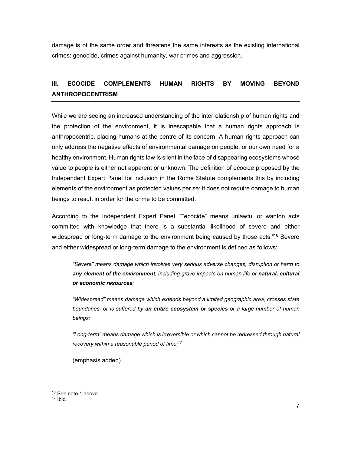damage is of the same order and threatens the same interests as the existing international crimes: genocide, crimes against humanity, war crimes and aggression.

## **III. ECOCIDE COMPLEMENTS HUMAN RIGHTS BY MOVING BEYOND ANTHROPOCENTRISM**

While we are seeing an increased understanding of the interrelationship of human rights and the protection of the environment, it is inescapable that a human rights approach is anthropocentric, placing humans at the centre of its concern. A human rights approach can only address the negative effects of environmental damage on people, or our own need for a healthy environment. Human rights law is silent in the face of disappearing ecosystems whose value to people is either not apparent or unknown. The definition of ecocide proposed by the Independent Expert Panel for inclusion in the Rome Statute complements this by including elements of the environment as protected values per se: it does not require damage to human beings to result in order for the crime to be committed.

According to the Independent Expert Panel, ""ecocide" means unlawful or wanton acts committed with knowledge that there is a substantial likelihood of severe and either widespread or long-term damage to the environment being caused by those acts."<sup>16</sup> Severe and either widespread or long-term damage to the environment is defined as follows:

*"Severe" means damage which involves very serious adverse changes, disruption or harm to any element of the environment, including grave impacts on human life or natural, cultural or economic resources;*

*"Widespread" means damage which extends beyond a limited geographic area, crosses state boundaries, or is suffered by an entire ecosystem or species or a large number of human beings;*

*"Long-term" means damage which is irreversible or which cannot be redressed through natural recovery within a reasonable period of time;17*

(emphasis added).

 $16$  See note 1 above.<br> $17$  Ibid.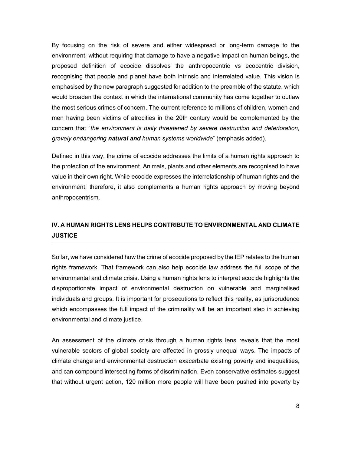By focusing on the risk of severe and either widespread or long-term damage to the environment, without requiring that damage to have a negative impact on human beings, the proposed definition of ecocide dissolves the anthropocentric vs ecocentric division, recognising that people and planet have both intrinsic and interrelated value. This vision is emphasised by the new paragraph suggested for addition to the preamble of the statute, which would broaden the context in which the international community has come together to outlaw the most serious crimes of concern. The current reference to millions of children, women and men having been victims of atrocities in the 20th century would be complemented by the concern that "*the environment is daily threatened by severe destruction and deterioration, gravely endangering natural and human systems worldwide*" (emphasis added).

Defined in this way, the crime of ecocide addresses the limits of a human rights approach to the protection of the environment. Animals, plants and other elements are recognised to have value in their own right. While ecocide expresses the interrelationship of human rights and the environment, therefore, it also complements a human rights approach by moving beyond anthropocentrism.

## **IV. A HUMAN RIGHTS LENS HELPS CONTRIBUTE TO ENVIRONMENTAL AND CLIMATE JUSTICE**

So far, we have considered how the crime of ecocide proposed by the IEP relates to the human rights framework. That framework can also help ecocide law address the full scope of the environmental and climate crisis. Using a human rights lens to interpret ecocide highlights the disproportionate impact of environmental destruction on vulnerable and marginalised individuals and groups. It is important for prosecutions to reflect this reality, as jurisprudence which encompasses the full impact of the criminality will be an important step in achieving environmental and climate justice.

An assessment of the climate crisis through a human rights lens reveals that the most vulnerable sectors of global society are affected in grossly unequal ways. The impacts of climate change and environmental destruction exacerbate existing poverty and inequalities, and can compound intersecting forms of discrimination. Even conservative estimates suggest that without urgent action, 120 million more people will have been pushed into poverty by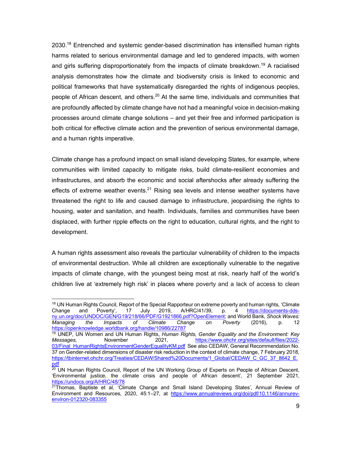2030.<sup>18</sup> Entrenched and systemic gender-based discrimination has intensified human rights harms related to serious environmental damage and led to gendered impacts, with women and girls suffering disproportionately from the impacts of climate breakdown.<sup>19</sup> A racialised analysis demonstrates how the climate and biodiversity crisis is linked to economic and political frameworks that have systematically disregarded the rights of indigenous peoples, people of African descent, and others.<sup>20</sup> At the same time, individuals and communities that are profoundly affected by climate change have not had a meaningful voice in decision-making processes around climate change solutions – and yet their free and informed participation is both critical for effective climate action and the prevention of serious environmental damage, and a human rights imperative.

Climate change has a profound impact on small island developing States, for example, where communities with limited capacity to mitigate risks, build climate-resilient economies and infrastructures, and absorb the economic and social aftershocks after already suffering the effects of extreme weather events.<sup>21</sup> Rising sea levels and intense weather systems have threatened the right to life and caused damage to infrastructure, jeopardising the rights to housing, water and sanitation, and health. Individuals, families and communities have been displaced, with further ripple effects on the right to education, cultural rights, and the right to development.

A human rights assessment also reveals the particular vulnerability of children to the impacts of environmental destruction. While all children are exceptionally vulnerable to the negative impacts of climate change, with the youngest being most at risk, nearly half of the world's children live at 'extremely high risk' in places where poverty and a lack of access to clean

<sup>&</sup>lt;sup>18</sup> UN Human Rights Council, Report of the Special Rapporteur on extreme poverty and human rights, 'Climate<br>Change and Poverty', 17 July 2019, A/HRC/41/39, p. 4 https://documents-dds-Change and Poverty', 17 July 2019, A/HRC/41/39, p. 4 https://documents-ddsny.un.org/doc/UNDOC/GEN/G19/218/66/PDF/G1921866.pdf?OpenElement; and World Bank, *Shock Waves: Managing the Impacts of Climate Change on Poverty* (2016), p. 12 https://openknowledge.worldbank.org/handle/10986/22787

<sup>19</sup> UNEP, UN Women and UN Human Rights, *Human Rights, Gender Equality and the Environment: Key Messages*, November 2021, https://www.ohchr.org/sites/default/files/2022- 03/Final\_HumanRightsEnvironmentGenderEqualityKM.pdf See also CEDAW, General Recommendation No. 37 on Gender-related dimensions of disaster risk reduction in the context of climate change, 7 February 2018, https://tbinternet.ohchr.org/Treaties/CEDAW/Shared%20Documents/1\_Global/CEDAW\_C\_GC\_37\_8642\_E. pdf

<sup>&</sup>lt;sup>20</sup> UN Human Rights Council, Report of the UN Working Group of Experts on People of African Descent, 'Environmental justice, the climate crisis and people of African descent', 21 September 2021, https://undocs.org/A/HRC/48/78

 $21$ Thomas, Baptiste et al, 'Climate Change and Small Island Developing States', Annual Review of Environment and Resources, 2020, 45:1–27, at https://www.annualreviews.org/doi/pdf/10.1146/annurevenviron-012320-083355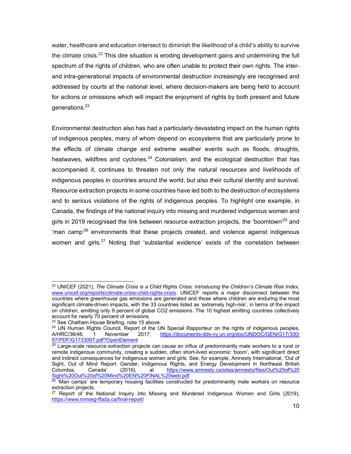water, healthcare and education intersect to diminish the likelihood of a child's ability to survive the climate crisis.<sup>22</sup> This dire situation is eroding development gains and undermining the full spectrum of the rights of children, who are often unable to protect their own rights. The interand intra-generational impacts of environmental destruction increasingly are recognised and addressed by courts at the national level, where decision-makers are being held to account for actions or omissions which will impact the enjoyment of rights by both present and future generations.23

Environmental destruction also has had a particularly devastating impact on the human rights of indigenous peoples, many of whom depend on ecosystems that are particularly prone to the effects of climate change and extreme weather events such as floods, droughts, heatwaves, wildfires and cyclones.<sup>24</sup> Colonialism, and the ecological destruction that has accompanied it, continues to threaten not only the natural resources and livelihoods of indigenous peoples in countries around the world, but also their cultural identity and survival. Resource extraction projects in some countries have led both to the destruction of ecosystems and to serious violations of the rights of indigenous peoples. To highlight one example, in Canada, the findings of the national inquiry into missing and murdered indigenous women and girls in 2019 recognised the link between resource extraction projects, the 'boomtown'<sup>25</sup> and  $\gamma$  man camp<sup>'26</sup> environments that these projects created, and violence against indigenous women and girls.<sup>27</sup> Noting that 'substantial evidence' exists of the correlation between

 <sup>22</sup> UNICEF (2021), *The Climate Crisis is a Child Rights Crisis: Introducing the Children's Climate Risk Index,*  www.unicef.org/reports/climate-crisis-child-rights-crisis. UNICEF reports a major disconnect between the countries where greenhouse gas emissions are generated and those where children are enduring the most significant climate-driven impacts, with the 33 countries listed as 'extremely high-risk', in terms of the impact on children, emitting only 9 percent of global CO2 emissions. The 10 highest emitting countries collectively account for nearly 70 percent of emissions.

<sup>&</sup>lt;sup>23</sup> See Chatham House Briefing, note 15 above.<br><sup>24</sup> UN Human Rights Council, Report of the UN Special Rapporteur on the rights of indigenous peoples,<br>A/HRC/36/46, 1 November 2017, https://documents-dds-ny.un.org/doc/UNDOC 1 November 2017, https://documents-dds-ny.un.org/doc/UNDOC/GEN/G17/330/ 97/PDF/G1733097.pdf?OpenElement

<sup>&</sup>lt;sup>25</sup> Large-scale resource extraction projects can cause an influx of predominantly male workers to a rural or remote indigenous community, creating a sudden, often short-lived economic 'boom', with significant direct and indirect consequences for indigenous women and girls. See, for example, Amnesty International, 'Out of Sight, Out of Mind Report: Gender, Indigenous Rights, and Energy Development in Northeast British Columbia, Canada' (2016), at https://www.amnesty.ca/sites/amnesty/files/Out%20of%20 Columbia, Canada' (2016), at https://www.<br>Sight%20Out%20of%20Mind%20EN%20FINAL%20web.pdf

Sight W2000 MW2001 M20001 M2000 ENSIGN 2020 ENSIGN 20 ENSIGN 20 THE 26 'Man camps' are temporary housing facilities constructed for predominantly male workers on resource extraction projects.

<sup>&</sup>lt;sup>27</sup> Report of the National Inquiry into Missing and Murdered Indigenous Women and Girls (2019), https://www.mmiwg-ffada.ca/final-report/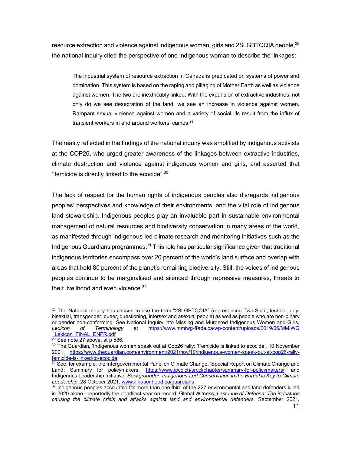resource extraction and violence against indigenous woman, girls and 2SLGBTQQIA people, $^{28}$ the national inquiry cited the perspective of one indigenous woman to describe the linkages:

The industrial system of resource extraction in Canada is predicated on systems of power and domination. This system is based on the raping and pillaging of Mother Earth as well as violence against women. The two are inextricably linked. With the expansion of extractive industries, not only do we see desecration of the land, we see an increase in violence against women. Rampant sexual violence against women and a variety of social ills result from the influx of transient workers in and around workers' camps.<sup>29</sup>

The reality reflected in the findings of the national inquiry was amplified by indigenous activists at the COP26, who urged greater awareness of the linkages between extractive industries, climate destruction and violence against indigenous women and girls, and asserted that "femicide is directly linked to the ecocide". $30$ 

The lack of respect for the human rights of indigenous peoples also disregards indigenous peoples' perspectives and knowledge of their environments, and the vital role of indigenous land stewardship. Indigenous peoples play an invaluable part in sustainable environmental management of natural resources and biodiversity conservation in many areas of the world, as manifested through indigenous-led climate research and monitoring initiatives such as the Indigenous Guardians programmes. $31$  This role has particular significance given that traditional indigenous territories encompass over 20 percent of the world's land surface and overlap with areas that hold 80 percent of the planet's remaining biodiversity. Still, the voices of indigenous peoples continue to be marginalised and silenced through repressive measures, threats to their livelihood and even violence.<sup>32</sup>

 $^{28}$  The National Inquiry has chosen to use the term "2SLGBTQQIA" (representing Two-Spirit, lesbian, gay, bisexual, transgender, queer, questioning, intersex and asexual people) as well as people who are non-binary or gender non-conforming. See National Inquiry into Missing and Murdered Indigenous Women and Girls, *Lexicon of Terminology* at https://www.mmiwg-ffada.ca/wp-content/uploads/2019/06/MMIWG Lexicon\_FINAL\_ENFR.pdf<sup>32</sup><br><sup>29</sup> See note 27 above, at p 586.

<sup>&</sup>lt;sup>30</sup> The Guardian, 'Indigenous women speak out at Cop26 rally: 'Femicide is linked to ecocide', 10 November 2021, https://www.theguardian.com/environment/2021/nov/10/indigenous-women-speak-out-at-cop26-rallyfemicide-is-linked-to-ecocide

<sup>&</sup>lt;sup>31</sup> See, for example, the Intergovernmental Panel on Climate Change, 'Special Report on Climate Change and Land: Summary for policymakers', https://www.ipcc.ch/srccl/chapter/summary-for-policymakers/; and Indigenous Leadership Initiative, *Backgrounder: Indigenous-Led Conservation in the Boreal is Key to Climate Leadership*, 28 October 2021, www.ilinationhood.ca/guardians

<sup>&</sup>lt;sup>32</sup> Indigenous peoples accounted for more than one third of the 227 environmental and land defenders killed in 2020 alone - reportedly the deadliest year on record. Global Witness, *Last Line of Defense: The industries causing the climate crisis and attacks against land and environmental defenders*, September 2021,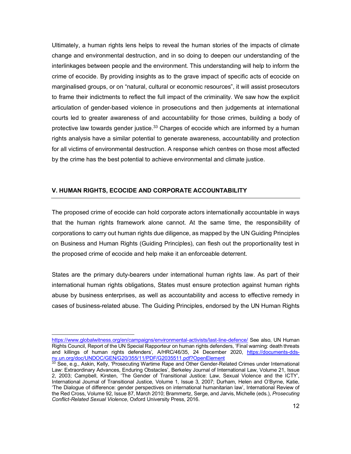Ultimately, a human rights lens helps to reveal the human stories of the impacts of climate change and environmental destruction, and in so doing to deepen our understanding of the interlinkages between people and the environment. This understanding will help to inform the crime of ecocide. By providing insights as to the grave impact of specific acts of ecocide on marginalised groups, or on "natural, cultural or economic resources", it will assist prosecutors to frame their indictments to reflect the full impact of the criminality. We saw how the explicit articulation of gender-based violence in prosecutions and then judgements at international courts led to greater awareness of and accountability for those crimes, building a body of protective law towards gender justice. $33$  Charges of ecocide which are informed by a human rights analysis have a similar potential to generate awareness, accountability and protection for all victims of environmental destruction. A response which centres on those most affected by the crime has the best potential to achieve environmental and climate justice.

### **V. HUMAN RIGHTS, ECOCIDE AND CORPORATE ACCOUNTABILITY**

 $\overline{a}$ 

The proposed crime of ecocide can hold corporate actors internationally accountable in ways that the human rights framework alone cannot. At the same time, the responsibility of corporations to carry out human rights due diligence, as mapped by the UN Guiding Principles on Business and Human Rights (Guiding Principles), can flesh out the proportionality test in the proposed crime of ecocide and help make it an enforceable deterrent.

States are the primary duty-bearers under international human rights law. As part of their international human rights obligations, States must ensure protection against human rights abuse by business enterprises, as well as accountability and access to effective remedy in cases of business-related abuse. The Guiding Principles, endorsed by the UN Human Rights

https://www.globalwitness.org/en/campaigns/environmental-activists/last-line-defence/ See also, UN Human Rights Council, Report of the UN Special Rapporteur on human rights defenders, 'Final warning: death threats and killings of human rights defenders'*,* A/HRC/46/35, 24 December 2020, https://documents-ddsny.un.org/doc/UNDOC/GEN/G20/355/11/PDF/G2035511.pdf?OpenElement

<sup>33</sup> See, e.g., Askin, Kelly, 'Prosecuting Wartime Rape and Other Gender-Related Crimes under International Law: Extraordinary Advances, Enduring Obstacles', Berkeley Journal of International Law, Volume 21, Issue 2, 2003; Campbell, Kirsten, 'The Gender of Transitional Justice: Law, Sexual Violence and the ICTY', International Journal of Transitional Justice, Volume 1, Issue 3, 2007; Durham, Helen and O'Byrne, Katie, 'The Dialogue of difference: gender perspectives on international humanitarian law', International Review of the Red Cross, Volume 92, Issue 87, March 2010; Brammertz, Serge, and Jarvis, Michelle (eds.), *Prosecuting Conflict-Related Sexual Violence*, Oxford University Press, 2016.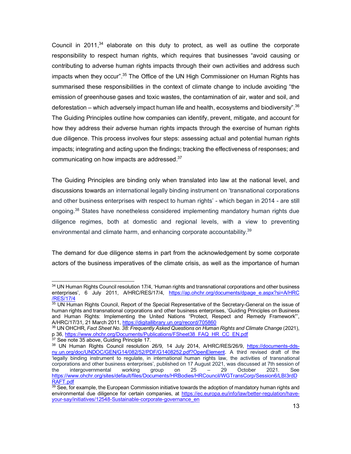Council in 2011, $34$  elaborate on this duty to protect, as well as outline the corporate responsibility to respect human rights, which requires that businesses "avoid causing or contributing to adverse human rights impacts through their own activities and address such impacts when they occur".35 The Office of the UN High Commissioner on Human Rights has summarised these responsibilities in the context of climate change to include avoiding "the emission of greenhouse gases and toxic wastes, the contamination of air, water and soil, and deforestation – which adversely impact human life and health, ecosystems and biodiversity".  $36$ The Guiding Principles outline how companies can identify, prevent, mitigate, and account for how they address their adverse human rights impacts through the exercise of human rights due diligence. This process involves four steps: assessing actual and potential human rights impacts; integrating and acting upon the findings; tracking the effectiveness of responses; and communicating on how impacts are addressed.37

The Guiding Principles are binding only when translated into law at the national level, and discussions towards an international legally binding instrument on 'transnational corporations and other business enterprises with respect to human rights' - which began in 2014 - are still ongoing.38 States have nonetheless considered implementing mandatory human rights due diligence regimes, both at domestic and regional levels, with a view to preventing environmental and climate harm, and enhancing corporate accountability.<sup>39</sup>

The demand for due diligence stems in part from the acknowledgement by some corporate actors of the business imperatives of the climate crisis, as well as the importance of human

<sup>34</sup> UN Human Rights Council resolution 17/4, 'Human rights and transnational corporations and other business enterprises', 6 July 2011, A/HRC/RES/17/4, https://ap.ohchr.org/documents/dpage\_e.aspx?si=A/HRC /RES/17/4

<sup>35</sup> UN Human Rights Council, Report of the Special Representative of the Secretary-General on the issue of human rights and transnational corporations and other business enterprises, 'Guiding Principles on Business and Human Rights: Implementing the United Nations "Protect, Respect and Remedy Framework"', A/HRC/17/31, 21 March 2011, https://digitallibrary.un.org/record/705860

<sup>36</sup> UN OHCHR, *Fact Sheet No. 38: Frequently Asked Questions on Human Rights and Climate Change* (2021), p 36, https://www.ohchr.org/Documents/Publications/FSheet38\_FAQ\_HR\_CC\_EN.pdf

<sup>&</sup>lt;sup>37</sup> See note 35 above, Guiding Principle 17.

<sup>38</sup> UN Human Rights Council resolution 26/9, 14 July 2014, A/HRC/RES/26/9, https://documents-ddsny.un.org/doc/UNDOC/GEN/G14/082/52/PDF/G1408252.pdf?OpenElement. A third revised draft of the 'legally binding instrument to regulate, in international human rights law, the activities of transnational corporations and other business enterprises', published on 17 August 2021, was discussed at 7th session of the intergovernmental working group on 25 - 29 October 2021. See the intergovernmental working group on 25 – 29 October 2021. See https://www.ohchr.org/sites/default/files/Documents/HRBodies/HRCouncil/WGTransCorp/Session6/LBI3rdD RAFT.pdf

 $39$  See, for example, the European Commission initiative towards the adoption of mandatory human rights and environmental due diligence for certain companies, at https://ec.europa.eu/info/law/better-regulation/haveyour-say/initiatives/12548-Sustainable-corporate-governance\_en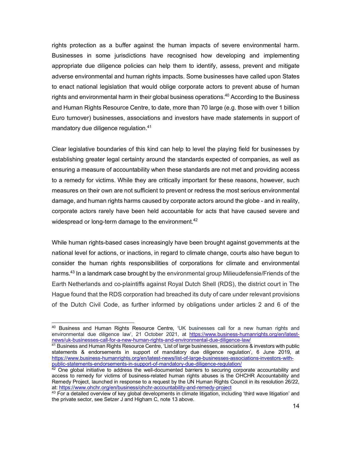rights protection as a buffer against the human impacts of severe environmental harm. Businesses in some jurisdictions have recognised how developing and implementing appropriate due diligence policies can help them to identify, assess, prevent and mitigate adverse environmental and human rights impacts. Some businesses have called upon States to enact national legislation that would oblige corporate actors to prevent abuse of human rights and environmental harm in their global business operations.<sup>40</sup> According to the Business and Human Rights Resource Centre, to date, more than 70 large (e.g. those with over 1 billion Euro turnover) businesses, associations and investors have made statements in support of mandatory due diligence regulation.<sup>41</sup>

Clear legislative boundaries of this kind can help to level the playing field for businesses by establishing greater legal certainty around the standards expected of companies, as well as ensuring a measure of accountability when these standards are not met and providing access to a remedy for victims. While they are critically important for these reasons, however, such measures on their own are not sufficient to prevent or redress the most serious environmental damage, and human rights harms caused by corporate actors around the globe - and in reality, corporate actors rarely have been held accountable for acts that have caused severe and widespread or long-term damage to the environment.<sup>42</sup>

While human rights-based cases increasingly have been brought against governments at the national level for actions, or inactions, in regard to climate change, courts also have begun to consider the human rights responsibilities of corporations for climate and environmental harms.<sup>43</sup> In a landmark case brought by the environmental group Milieudefensie/Friends of the Earth Netherlands and co-plaintiffs against Royal Dutch Shell (RDS), the district court in The Hague found that the RDS corporation had breached its duty of care under relevant provisions of the Dutch Civil Code, as further informed by obligations under articles 2 and 6 of the

<sup>&</sup>lt;sup>40</sup> Business and Human Rights Resource Centre, 'UK businesses call for a new human rights and environmental due diligence law', 21 October 2021, at https://www.business-humanrights.org/en/latestnews/uk-businesses-call-for-a-new-human-rights-and-environmental-due-diligence-law/

 $41$  Business and Human Rights Resource Centre, 'List of large businesses, associations & investors with public statements & endorsements in support of mandatory due diligence regulation', 6 June 2019, at https://www.business-humanrights.org/en/latest-news/list-of-large-businesses-associations-investors-withpublic-statements-endorsements-in-support-of-mandatory-due-diligence-regulation/

 $42$  One global initiative to address the well-documented barriers to securing corporate accountability and access to remedy for victims of business-related human rights abuses is the OHCHR Accountability and Remedy Project, launched in response to a request by the UN Human Rights Council in its resolution 26/22, at: https://www.ohchr.org/en/business/ohchr-accountability-and-remedy-project

<sup>43</sup> For a detailed overview of key global developments in climate litigation, including 'third wave litigation' and the private sector, see Setzer J and Higham C, note 13 above.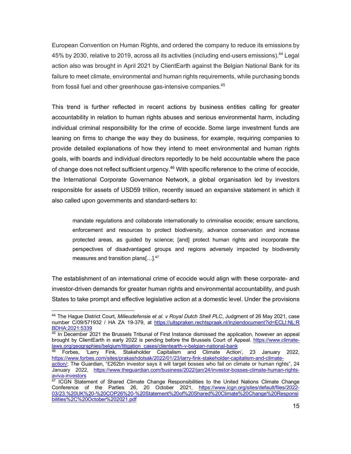European Convention on Human Rights, and ordered the company to reduce its emissions by 45% by 2030, relative to 2019, across all its activities (including end-users emissions).44 Legal action also was brought in April 2021 by ClientEarth against the Belgian National Bank for its failure to meet climate, environmental and human rights requirements, while purchasing bonds from fossil fuel and other greenhouse gas-intensive companies.45

This trend is further reflected in recent actions by business entities calling for greater accountability in relation to human rights abuses and serious environmental harm, including individual criminal responsibility for the crime of ecocide. Some large investment funds are leaning on firms to change the way they do business, for example, requiring companies to provide detailed explanations of how they intend to meet environmental and human rights goals, with boards and individual directors reportedly to be held accountable where the pace of change does not reflect sufficient urgency.<sup>46</sup> With specific reference to the crime of ecocide, the International Corporate Governance Network, a global organisation led by investors responsible for assets of USD59 trillion, recently issued an expansive statement in which it also called upon governments and standard-setters to:

mandate regulations and collaborate internationally to criminalise ecocide; ensure sanctions, enforcement and resources to protect biodiversity, advance conservation and increase protected areas, as guided by science; [and] protect human rights and incorporate the perspectives of disadvantaged groups and regions adversely impacted by biodiversity measures and transition plans[...].<sup>47</sup>

The establishment of an international crime of ecocide would align with these corporate- and investor-driven demands for greater human rights and environmental accountability, and push States to take prompt and effective legislative action at a domestic level. Under the provisions

 <sup>44</sup> The Hague District Court, *Milieudefensie et al. v Royal Dutch Shell PLC*, Judgment of 26 May 2021, case number C/09/571932 / HA ZA 19-379, at https://uitspraken.rechtspraak.nl/inziendocument?id=ECLI:NL:R BDHA:2021:5339

<sup>45</sup> In December 2021 the Brussels Tribunal of First Instance dismissed the application, however an appeal brought by ClientEarth in early 2022 is pending before the Brussels Court of Appeal. https://www.climatelaws.org/geographies/belgium/litigation\_cases/clientearth-v-belgian-national-bank

<sup>46</sup> Forbes, 'Larry Fink, Stakeholder Capitalism and Climate Action', 23 January 2022, https://www.forbes.com/sites/prakashdolsak/2022/01/23/larry-fink-stakeholder-capitalism-and-climate-

action/; The Guardian, "£262bn investor says it will target bosses who fail on climate or human rights", 24 January 2022, https://www.theguardian.com/business/2022/jan/24/investor-bosses-climate-human-rightsaviva-investors

<sup>&</sup>lt;sup>47</sup> ICGN Statement of Shared Climate Change Responsibilities to the United Nations Climate Change Conference of the Parties 26, 20 October 2021, https://www.icgn.org/sites/default/files/2022-03/23.%20UK%20-%20COP26%20-%20Statement%20of%20Shared%20Climate%20Change%20Responsi bilities%2C%20October%202021.pdf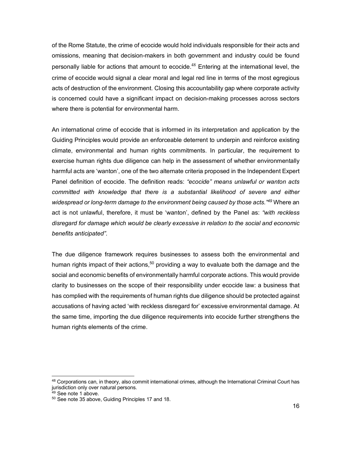of the Rome Statute, the crime of ecocide would hold individuals responsible for their acts and omissions, meaning that decision-makers in both government and industry could be found personally liable for actions that amount to ecocide.<sup>48</sup> Entering at the international level, the crime of ecocide would signal a clear moral and legal red line in terms of the most egregious acts of destruction of the environment. Closing this accountability gap where corporate activity is concerned could have a significant impact on decision-making processes across sectors where there is potential for environmental harm.

An international crime of ecocide that is informed in its interpretation and application by the Guiding Principles would provide an enforceable deterrent to underpin and reinforce existing climate, environmental and human rights commitments. In particular, the requirement to exercise human rights due diligence can help in the assessment of whether environmentally harmful acts are 'wanton', one of the two alternate criteria proposed in the Independent Expert Panel definition of ecocide. The definition reads: *"ecocide" means unlawful or wanton acts committed with knowledge that there is a substantial likelihood of severe and either widespread or long-term damage to the environment being caused by those acts."49* Where an act is not unlawful, therefore, it must be 'wanton', defined by the Panel as: *"with reckless disregard for damage which would be clearly excessive in relation to the social and economic benefits anticipated".* 

The due diligence framework requires businesses to assess both the environmental and human rights impact of their actions,<sup>50</sup> providing a way to evaluate both the damage and the social and economic benefits of environmentally harmful corporate actions. This would provide clarity to businesses on the scope of their responsibility under ecocide law: a business that has complied with the requirements of human rights due diligence should be protected against accusations of having acted 'with reckless disregard for' excessive environmental damage. At the same time, importing the due diligence requirements into ecocide further strengthens the human rights elements of the crime.

<sup>48</sup> Corporations can, in theory, also commit international crimes, although the International Criminal Court has jurisdiction only over natural persons.

<sup>49</sup> See note 1 above.

<sup>50</sup> See note 35 above, Guiding Principles 17 and 18.